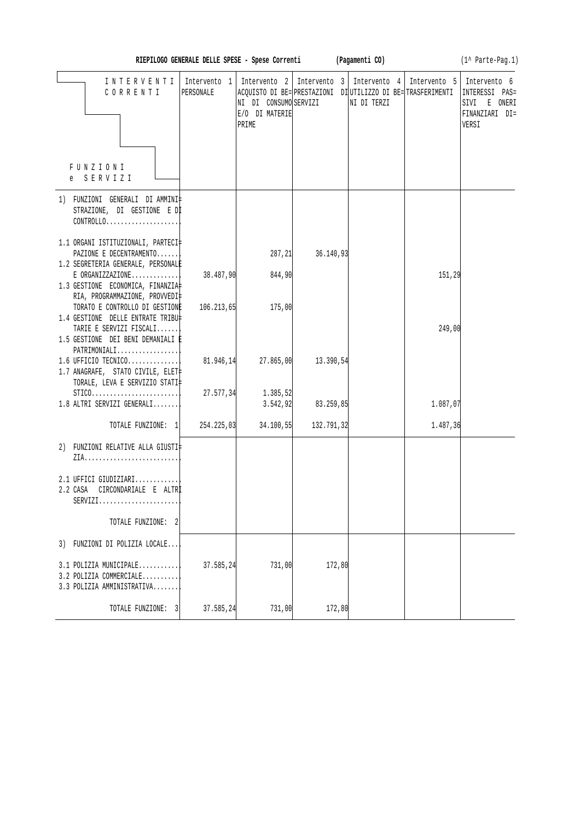| RIEPILOGO GENERALE DELLE SPESE - Spese Corrent |  |  |  |  |  |  |
|------------------------------------------------|--|--|--|--|--|--|
|------------------------------------------------|--|--|--|--|--|--|

**RIEPILOGO BELLE SPECIE EXECUTE:** (Pagamenti CO) **(1^** Parte-Pag.1)

| INTERVENTI<br>CORRENTI<br>FUNZIONI<br>e SERVIZI                                                                                  | PERSONALE  | NI DI CONSUMO SERVIZI<br>E/O DI MATERIE<br>PRIME | Intervento 1   Intervento 2   Intervento 3   Intervento 4   Intervento 5   Intervento 6<br>ACQUISTO DI BE= PRESTAZIONI DI UTILIZZO DI BE= TRASFERIMENTI | NI DI TERZI |          | INTERESSI<br>$PAS =$<br>SIVI E ONERI<br>FINANZIARI DI=<br>VERSI |
|----------------------------------------------------------------------------------------------------------------------------------|------------|--------------------------------------------------|---------------------------------------------------------------------------------------------------------------------------------------------------------|-------------|----------|-----------------------------------------------------------------|
| 1) FUNZIONI GENERALI DI AMMINI‡                                                                                                  |            |                                                  |                                                                                                                                                         |             |          |                                                                 |
| STRAZIONE, DI GESTIONE E DI<br>$CONTROLLO.$                                                                                      |            |                                                  |                                                                                                                                                         |             |          |                                                                 |
| 1.1 ORGANI ISTITUZIONALI, PARTECI‡<br>PAZIONE E DECENTRAMENTO<br>1.2 SEGRETERIA GENERALE, PERSONALE                              |            | 287, 21                                          | 36.140,93                                                                                                                                               |             |          |                                                                 |
| $E$ ORGANIZZAZIONE<br>1.3 GESTIONE ECONOMICA, FINANZIA                                                                           | 38.487,90  | 844,90                                           |                                                                                                                                                         |             | 151,29   |                                                                 |
| RIA, PROGRAMMAZIONE, PROVVEDI‡<br>TORATO E CONTROLLO DI GESTIONE<br>1.4 GESTIONE DELLE ENTRATE TRIBU‡<br>TARIE E SERVIZI FISCALI | 106.213,65 | 175,00                                           |                                                                                                                                                         |             | 249,00   |                                                                 |
| 1.5 GESTIONE DEI BENI DEMANIALI È<br>PATRIMONIALI<br>$1.6$ UFFICIO TECNICO<br>1.7 ANAGRAFE, STATO CIVILE, ELET‡                  | 81.946,14  | 27.865,00                                        | 13.390,54                                                                                                                                               |             |          |                                                                 |
| TORALE, LEVA E SERVIZIO STATI‡<br>$STICO. \ldots \ldots \ldots \ldots \ldots \ldots \ldots$<br>1.8 ALTRI SERVIZI GENERALI        | 27.577,34  | 1.385,52<br>3.542, 92                            | 83.259,85                                                                                                                                               |             | 1.087,07 |                                                                 |
| TOTALE FUNZIONE: 1 254.225,03                                                                                                    |            | 34.100,55                                        | 132.791,32                                                                                                                                              |             | 1.487,36 |                                                                 |
| 2) FUNZIONI RELATIVE ALLA GIUSTI‡                                                                                                |            |                                                  |                                                                                                                                                         |             |          |                                                                 |
| 2.1 UFFICI GIUDIZIARI<br>CIRCONDARIALE E ALTRİ<br>2.2 CASA<br>$SERVIZI.$                                                         |            |                                                  |                                                                                                                                                         |             |          |                                                                 |
| TOTALE FUNZIONE: 2                                                                                                               |            |                                                  |                                                                                                                                                         |             |          |                                                                 |
| 3) FUNZIONI DI POLIZIA LOCALE                                                                                                    |            |                                                  |                                                                                                                                                         |             |          |                                                                 |
| 3.1 POLIZIA MUNICIPALE<br>3.2 POLIZIA COMMERCIALE<br>3.3 POLIZIA AMMINISTRATIVA                                                  | 37.585,24  | 731,00                                           | 172,80                                                                                                                                                  |             |          |                                                                 |
| TOTALE FUNZIONE: 3                                                                                                               | 37.585,24  | 731,00                                           | 172,80                                                                                                                                                  |             |          |                                                                 |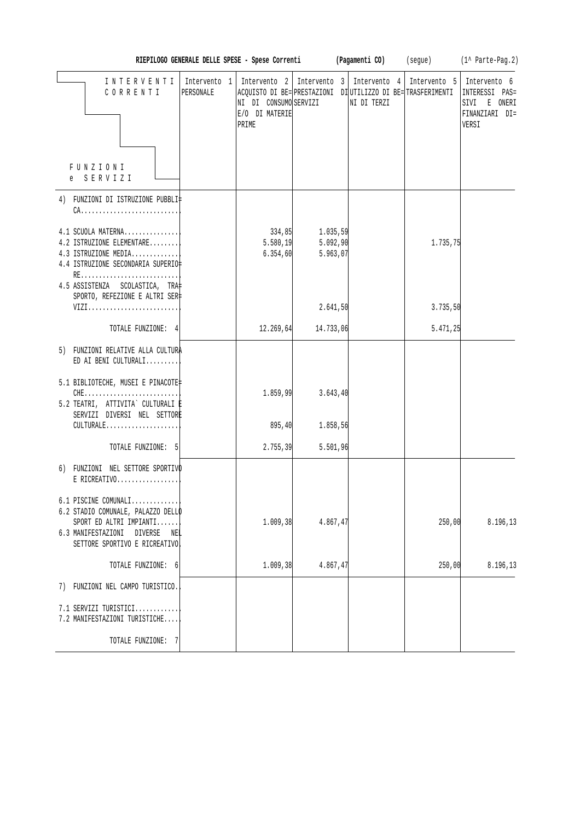|                                                                                                                                                             | RIEPILOGO GENERALE DELLE SPESE - Spese Correnti |                                                  |                                  | (Pagamenti CO)                                                                                                            | (segue)  | (1^ Parte-Pag.2)                                                                         |
|-------------------------------------------------------------------------------------------------------------------------------------------------------------|-------------------------------------------------|--------------------------------------------------|----------------------------------|---------------------------------------------------------------------------------------------------------------------------|----------|------------------------------------------------------------------------------------------|
| INTERVENTI<br>CORRENTI                                                                                                                                      | Intervento 1<br>PERSONALE                       | NI DI CONSUMO SERVIZI<br>E/O DI MATERIE<br>PRIME |                                  | Intervento 2   Intervento 3   Intervento 4<br>ACQUISTO DI BE= PRESTAZIONI DI UTILIZZO DI BE= TRASFERIMENTI<br>NI DI TERZI |          | Intervento 5   Intervento 6<br>INTERESSI PAS=<br>SIVI E ONERI<br>FINANZIARI DI=<br>VERSI |
| FUNZIONI<br>e SERVIZI                                                                                                                                       |                                                 |                                                  |                                  |                                                                                                                           |          |                                                                                          |
| 4) FUNZIONI DI ISTRUZIONE PUBBLI‡<br>$CA$                                                                                                                   |                                                 |                                                  |                                  |                                                                                                                           |          |                                                                                          |
| 4.1 SCUOLA MATERNA<br>4.2 ISTRUZIONE ELEMENTARE<br>4.3 ISTRUZIONE MEDIA<br>4.4 ISTRUZIONE SECONDARIA SUPERIO‡                                               |                                                 | 334,85<br>5.580, 19<br>6.354, 60                 | 1.035,59<br>5.092,90<br>5.963,07 |                                                                                                                           | 1.735,75 |                                                                                          |
| RE<br>4.5 ASSISTENZA SCOLASTICA, TRA<br>SPORTO, REFEZIONE E ALTRI SER‡<br>VIZI                                                                              |                                                 |                                                  | 2.641,50                         |                                                                                                                           | 3.735,50 |                                                                                          |
| TOTALE FUNZIONE: 4                                                                                                                                          |                                                 | 12.269,64                                        | 14.733,06                        |                                                                                                                           | 5.471,25 |                                                                                          |
| 5) FUNZIONI RELATIVE ALLA CULTURA<br>ED AI BENI CULTURALI                                                                                                   |                                                 |                                                  |                                  |                                                                                                                           |          |                                                                                          |
| 5.1 BIBLIOTECHE, MUSEI E PINACOTE‡<br>$CHE$<br>5.2 TEATRI, ATTIVITA` CULTURALI E<br>SERVIZI DIVERSI NEL SETTORE                                             |                                                 | 1.859,99                                         | 3.643,40                         |                                                                                                                           |          |                                                                                          |
| CULTURALE                                                                                                                                                   |                                                 | 895, 40                                          | 1.858,56                         |                                                                                                                           |          |                                                                                          |
| TOTALE FUNZIONE: 5                                                                                                                                          |                                                 | 2.755,39                                         | 5.501,96                         |                                                                                                                           |          |                                                                                          |
| 6) FUNZIONI NEL SETTORE SPORTIVO<br>$E$ RICREATIVO                                                                                                          |                                                 |                                                  |                                  |                                                                                                                           |          |                                                                                          |
| 6.1 PISCINE COMUNALI<br>6.2 STADIO COMUNALE, PALAZZO DELLO<br>SPORT ED ALTRI IMPIANTI<br>6.3 MANIFESTAZIONI DIVERSE<br>NEL<br>SETTORE SPORTIVO E RICREATIVO |                                                 | 1.009, 38                                        | 4.867,47                         |                                                                                                                           | 250,00   | 8.196,13                                                                                 |
| TOTALE FUNZIONE: 6                                                                                                                                          |                                                 | 1.009, 38                                        | 4.867,47                         |                                                                                                                           | 250,00   | 8.196,13                                                                                 |
| 7) FUNZIONI NEL CAMPO TURISTICO.                                                                                                                            |                                                 |                                                  |                                  |                                                                                                                           |          |                                                                                          |
| 7.1 SERVIZI TURISTICI<br>7.2 MANIFESTAZIONI TURISTICHE                                                                                                      |                                                 |                                                  |                                  |                                                                                                                           |          |                                                                                          |
| TOTALE FUNZIONE: 7                                                                                                                                          |                                                 |                                                  |                                  |                                                                                                                           |          |                                                                                          |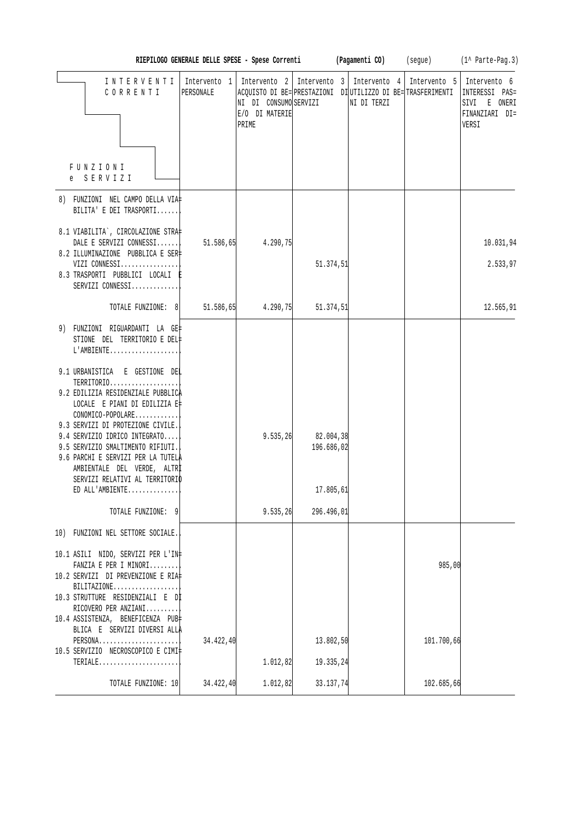|                                                                                                                                                                              |           |                                                  |                         |                                                                                                                                            |            | RIEPILOGO GENERALE DELLE SPESE - Spese Correnti (Pagamenti CO) (segue) (1^ Parte-Pag.3) |
|------------------------------------------------------------------------------------------------------------------------------------------------------------------------------|-----------|--------------------------------------------------|-------------------------|--------------------------------------------------------------------------------------------------------------------------------------------|------------|-----------------------------------------------------------------------------------------|
| INTERVENTI<br>CORRENTI                                                                                                                                                       | PERSONALE | NI DI CONSUMO SERVIZI<br>E/O DI MATERIE<br>PRIME |                         | Intervento 1   Intervento 2   Intervento 3   Intervento 4  <br>ACQUISTO DI BE= PRESTAZIONI DI UTILIZZO DI BE= TRASFERIMENTI<br>NI DI TERZI |            | Intervento 5 Intervento 6<br>INTERESSI PAS=<br>SIVI E ONERI<br>FINANZIARI DI=<br>VERSI  |
| FUNZIONI<br>e SERVIZI                                                                                                                                                        |           |                                                  |                         |                                                                                                                                            |            |                                                                                         |
| 8) FUNZIONI NEL CAMPO DELLA VIA‡<br>BILITA' E DEI TRASPORTI                                                                                                                  |           |                                                  |                         |                                                                                                                                            |            |                                                                                         |
| 8.1 VIABILITA`, CIRCOLAZIONE STRA‡<br>DALE E SERVIZI CONNESSI<br>8.2 ILLUMINAZIONE PUBBLICA E SER‡<br>VIZI CONNESSI                                                          | 51.586,65 | 4.290,75                                         | 51.374,51               |                                                                                                                                            |            | 10.031,94<br>2.533,97                                                                   |
| 8.3 TRASPORTI PUBBLICI LOCALI E<br>SERVIZI CONNESSI                                                                                                                          |           |                                                  |                         |                                                                                                                                            |            |                                                                                         |
| TOTALE FUNZIONE: 8                                                                                                                                                           | 51.586,65 | 4.290,75                                         | 51.374, 51              |                                                                                                                                            |            | 12.565,91                                                                               |
| 9) FUNZIONI RIGUARDANTI LA GE‡<br>STIONE DEL TERRITORIO E DEL#<br>$L'AMBIENTE$                                                                                               |           |                                                  |                         |                                                                                                                                            |            |                                                                                         |
| 9.1 URBANISTICA E GESTIONE DEL<br>TERRITORIO<br>9.2 EDILIZIA RESIDENZIALE PUBBLICA<br>LOCALE E PIANI DI EDILIZIA E‡<br>CONOMICO-POPOLARE                                     |           |                                                  |                         |                                                                                                                                            |            |                                                                                         |
| 9.3 SERVIZI DI PROTEZIONE CIVILE.<br>9.4 SERVIZIO IDRICO INTEGRATO<br>9.5 SERVIZIO SMALTIMENTO RIFIUTI.<br>9.6 PARCHI E SERVIZI PER LA TUTELA<br>AMBIENTALE DEL VERDE, ALTRI |           | 9.535, 26                                        | 82.004,38<br>196.686,02 |                                                                                                                                            |            |                                                                                         |
| SERVIZI RELATIVI AL TERRITORIO<br>ED ALL'AMBIENTE                                                                                                                            |           |                                                  | 17.805,61               |                                                                                                                                            |            |                                                                                         |
| TOTALE FUNZIONE: 9                                                                                                                                                           |           | 9.535, 26                                        | 296.496,01              |                                                                                                                                            |            |                                                                                         |
| 10) FUNZIONI NEL SETTORE SOCIALE.                                                                                                                                            |           |                                                  |                         |                                                                                                                                            |            |                                                                                         |
| 10.1 ASILI NIDO, SERVIZI PER L'IN‡<br>FANZIA E PER I MINORI<br>10.2 SERVIZI DI PREVENZIONE E RIA‡<br>BILITAZIONE<br>10.3 STRUTTURE RESIDENZIALI E Dİ<br>RICOVERO PER ANZIANI |           |                                                  |                         |                                                                                                                                            | 985,00     |                                                                                         |
| 10.4 ASSISTENZA, BENEFICENZA PUB<br>BLICA E SERVIZI DIVERSI ALLA<br>PERSONA<br>10.5 SERVIZIO NECROSCOPICO E CIMI‡                                                            | 34.422,40 |                                                  | 13.802,50               |                                                                                                                                            | 101.700,66 |                                                                                         |
| TERIALE                                                                                                                                                                      |           | 1.012,82                                         | 19.335,24               |                                                                                                                                            |            |                                                                                         |
| TOTALE FUNZIONE: 10                                                                                                                                                          | 34.422,40 | 1.012, 82                                        | 33.137,74               |                                                                                                                                            | 102.685,66 |                                                                                         |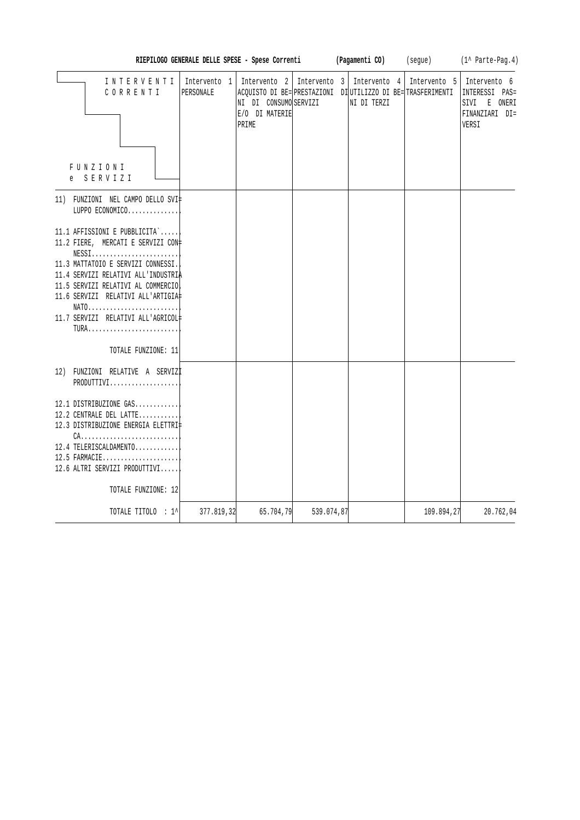|                                                                                                                                                                                                                                                                                                                                               |                           | RIEPILOGO GENERALE DELLE SPESE - Spese Correnti                                                                                             |              | (Pagamenti CO)              | (segue)      | (1^ Parte-Pag.4)                                                          |
|-----------------------------------------------------------------------------------------------------------------------------------------------------------------------------------------------------------------------------------------------------------------------------------------------------------------------------------------------|---------------------------|---------------------------------------------------------------------------------------------------------------------------------------------|--------------|-----------------------------|--------------|---------------------------------------------------------------------------|
| INTERVENTI<br>CORRENTI<br>FUNZIONI<br>SERVIZI                                                                                                                                                                                                                                                                                                 | Intervento 1<br>PERSONALE | Intervento <sub>2</sub><br>ACQUISTO DI BE= PRESTAZIONI DI UTILIZZO DI BE= TRASFERIMENTI<br>NI DI CONSUMO SERVIZI<br>E/O DI MATERIE<br>PRIME | Intervento 3 | Intervento 4<br>NI DI TERZI | Intervento 5 | Intervento 6<br>INTERESSI PAS=<br>SIVI E ONERI<br>FINANZIARI DI=<br>VERSI |
| 11) FUNZIONI NEL CAMPO DELLO SVI‡<br>LUPPO ECONOMICO                                                                                                                                                                                                                                                                                          |                           |                                                                                                                                             |              |                             |              |                                                                           |
| 11.1 AFFISSIONI E PUBBLICITA`<br>11.2 FIERE, MERCATI E SERVIZI CON#<br>$NESS1, \ldots, \ldots, \ldots, \ldots, \ldots, \ldots$<br>11.3 MATTATOIO E SERVIZI CONNESSI.<br>11.4 SERVIZI RELATIVI ALL'INDUSTRIA<br>11.5 SERVIZI RELATIVI AL COMMERCIO<br>11.6 SERVIZI RELATIVI ALL'ARTIGIA#<br>NATO<br>11.7 SERVIZI RELATIVI ALL'AGRICOL#<br>TURA |                           |                                                                                                                                             |              |                             |              |                                                                           |
| TOTALE FUNZIONE: 11                                                                                                                                                                                                                                                                                                                           |                           |                                                                                                                                             |              |                             |              |                                                                           |
| 12) FUNZIONI RELATIVE A SERVIZI<br>PRODUTTIVI<br>12.1 DISTRIBUZIONE GAS<br>12.2 CENTRALE DEL LATTE<br>12.3 DISTRIBUZIONE ENERGIA ELETTRI‡                                                                                                                                                                                                     |                           |                                                                                                                                             |              |                             |              |                                                                           |
| $CA.$<br>12.4 TELERISCALDAMENTO<br>12.5 FARMACIE<br>12.6 ALTRI SERVIZI PRODUTTIVI<br>TOTALE FUNZIONE: 12                                                                                                                                                                                                                                      |                           |                                                                                                                                             |              |                             |              |                                                                           |
| TOTALE TITOLO : 1^                                                                                                                                                                                                                                                                                                                            | 377.819,32                | 65.704,79                                                                                                                                   | 539.074,87   |                             | 109.894,27   | 20.762,04                                                                 |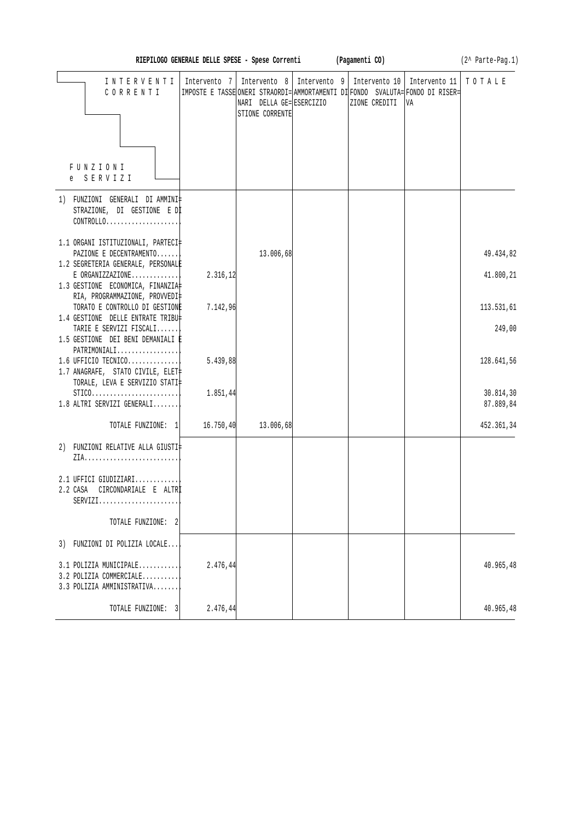| RIEPILOGO GENERALE DELLE SPESE - Spese Correnti (Pagamenti CO)<br>$(2^{\wedge}$ Parte-Pag.1) |              |                                                             |              |                                                                                                                   |                               |  |
|----------------------------------------------------------------------------------------------|--------------|-------------------------------------------------------------|--------------|-------------------------------------------------------------------------------------------------------------------|-------------------------------|--|
| INTERVENTI<br>CORRENTI                                                                       | Intervento 7 | Intervento 8<br>NARI DELLA GE= ESERCIZIO<br>STIONE CORRENTE | Intervento 9 | Intervento 10<br> IMPOSTE E TASSE ONERI STRAORDI= AMMORTAMENTI DI FONDO SVALUTA= FONDO DI RISER=<br>ZIONE CREDITI | Intervento 11<br>TOTALE<br>VA |  |
| FUNZIONI<br>e SERVIZI                                                                        |              |                                                             |              |                                                                                                                   |                               |  |
| 1) FUNZIONI GENERALI DIAMMINI‡<br>STRAZIONE, DI GESTIONE E DI<br>CONTROLLO                   |              |                                                             |              |                                                                                                                   |                               |  |
| 1.1 ORGANI ISTITUZIONALI, PARTECI‡<br>PAZIONE E DECENTRAMENTO                                |              | 13.006,68                                                   |              |                                                                                                                   | 49.434,82                     |  |
| 1.2 SEGRETERIA GENERALE, PERSONALE                                                           |              |                                                             |              |                                                                                                                   |                               |  |
| $E$ ORGANIZZAZIONE<br>1.3 GESTIONE ECONOMICA, FINANZIA                                       | 2.316,12     |                                                             |              |                                                                                                                   | 41.800,21                     |  |
| RIA, PROGRAMMAZIONE, PROVVEDI‡<br>TORATO E CONTROLLO DI GESTIONE                             | 7.142,96     |                                                             |              |                                                                                                                   | 113.531,61                    |  |
| 1.4 GESTIONE DELLE ENTRATE TRIBU‡                                                            |              |                                                             |              |                                                                                                                   |                               |  |
| TARIE E SERVIZI FISCALI<br>1.5 GESTIONE DEI BENI DEMANIALI È                                 |              |                                                             |              |                                                                                                                   | 249,00                        |  |
| PATRIMONIALI<br>$1.6$ UFFICIO TECNICO<br>1.7 ANAGRAFE, STATO CIVILE, ELET‡                   | 5.439,88     |                                                             |              |                                                                                                                   | 128.641,56                    |  |
| TORALE, LEVA E SERVIZIO STATI‡<br>$STICO.$<br>1.8 ALTRI SERVIZI GENERALI                     | 1.851,44     |                                                             |              |                                                                                                                   | 30.814,30<br>87.889,84        |  |
| TOTALE FUNZIONE: 1 16.750,40                                                                 |              | 13.006,68                                                   |              |                                                                                                                   | 452.361,34                    |  |
| 2) FUNZIONI RELATIVE ALLA GIUSTI‡                                                            |              |                                                             |              |                                                                                                                   |                               |  |
| 2.1 UFFICI GIUDIZIARI<br>2.2 CASA CIRCONDARIALE E ALTRI<br>$SERVIZI.$                        |              |                                                             |              |                                                                                                                   |                               |  |
| TOTALE FUNZIONE: 2                                                                           |              |                                                             |              |                                                                                                                   |                               |  |
| 3) FUNZIONI DI POLIZIA LOCALE                                                                |              |                                                             |              |                                                                                                                   |                               |  |
| 3.1 POLIZIA MUNICIPALE<br>3.2 POLIZIA COMMERCIALE<br>3.3 POLIZIA AMMINISTRATIVA              | 2.476,44     |                                                             |              |                                                                                                                   | 40.965,48                     |  |
| TOTALE FUNZIONE: 3                                                                           | 2.476,44     |                                                             |              |                                                                                                                   | 40.965,48                     |  |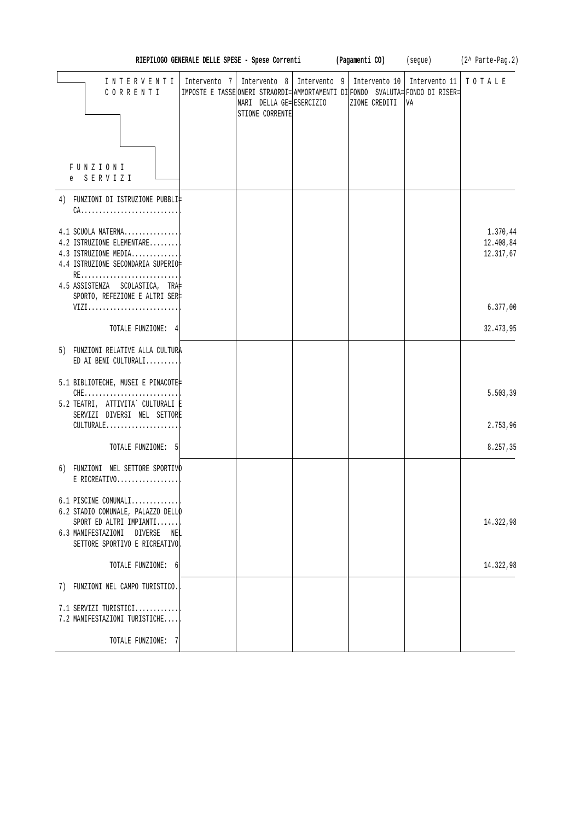| RIEPILOGO GENERALE DELLE SPESE - Spese Correnti (Pagamenti CO) (segue) (2^ Parte-Pag.2)                                                                    |  |                                             |  |                                                                                                                                                                 |                     |                                    |  |
|------------------------------------------------------------------------------------------------------------------------------------------------------------|--|---------------------------------------------|--|-----------------------------------------------------------------------------------------------------------------------------------------------------------------|---------------------|------------------------------------|--|
| INTERVENTI<br>CORRENTI                                                                                                                                     |  | NARI DELLA GE= ESERCIZIO<br>STIONE CORRENTE |  | Intervento 7   Intervento 8   Intervento 9   Intervento 10  <br>IMPOSTE E TASSE ONERI STRAORDI= AMMORTAMENTI DI FONDO SVALUTA= FONDO DI RISER=<br>ZIONE CREDITI | Intervento 11<br>VA | TOTALE                             |  |
| FUNZIONI<br>e SERVIZI                                                                                                                                      |  |                                             |  |                                                                                                                                                                 |                     |                                    |  |
| 4) FUNZIONI DI ISTRUZIONE PUBBLI‡<br>$CA.$                                                                                                                 |  |                                             |  |                                                                                                                                                                 |                     |                                    |  |
| 4.1 SCUOLA MATERNA<br>4.2 ISTRUZIONE ELEMENTARE<br>4.3 ISTRUZIONE MEDIA<br>4.4 ISTRUZIONE SECONDARIA SUPERIO‡<br>RE                                        |  |                                             |  |                                                                                                                                                                 |                     | 1.370,44<br>12.408,84<br>12.317,67 |  |
| 4.5 ASSISTENZA SCOLASTICA, TRA‡<br>SPORTO, REFEZIONE E ALTRI SER‡                                                                                          |  |                                             |  |                                                                                                                                                                 |                     |                                    |  |
| VIZI                                                                                                                                                       |  |                                             |  |                                                                                                                                                                 |                     | 6.377,00                           |  |
| TOTALE FUNZIONE: 4                                                                                                                                         |  |                                             |  |                                                                                                                                                                 |                     | 32.473,95                          |  |
| 5) FUNZIONI RELATIVE ALLA CULTURA<br>ED AI BENI CULTURALI                                                                                                  |  |                                             |  |                                                                                                                                                                 |                     |                                    |  |
| 5.1 BIBLIOTECHE, MUSEI E PINACOTE<br>$CHE$<br>5.2 TEATRI, ATTIVITA` CULTURALI E<br>SERVIZI DIVERSI NEL SETTORE                                             |  |                                             |  |                                                                                                                                                                 |                     | 5.503,39                           |  |
| CULTURALE                                                                                                                                                  |  |                                             |  |                                                                                                                                                                 |                     | 2.753,96                           |  |
| TOTALE FUNZIONE: 5                                                                                                                                         |  |                                             |  |                                                                                                                                                                 |                     | 8.257,35                           |  |
| 6) FUNZIONI NEL SETTORE SPORTIVO<br>E RICREATIVO                                                                                                           |  |                                             |  |                                                                                                                                                                 |                     |                                    |  |
| $6.1$ PISCINE COMUNALI<br>6.2 STADIO COMUNALE, PALAZZO DELLO<br>SPORT ED ALTRI IMPIANTI<br>6.3 MANIFESTAZIONI DIVERSE NEL<br>SETTORE SPORTIVO E RICREATIVO |  |                                             |  |                                                                                                                                                                 |                     | 14.322,98                          |  |
| TOTALE FUNZIONE: 6                                                                                                                                         |  |                                             |  |                                                                                                                                                                 |                     | 14.322,98                          |  |
| 7) FUNZIONI NEL CAMPO TURISTICO.                                                                                                                           |  |                                             |  |                                                                                                                                                                 |                     |                                    |  |
| 7.1 SERVIZI TURISTICI<br>7.2 MANIFESTAZIONI TURISTICHE                                                                                                     |  |                                             |  |                                                                                                                                                                 |                     |                                    |  |
| TOTALE FUNZIONE: 7                                                                                                                                         |  |                                             |  |                                                                                                                                                                 |                     |                                    |  |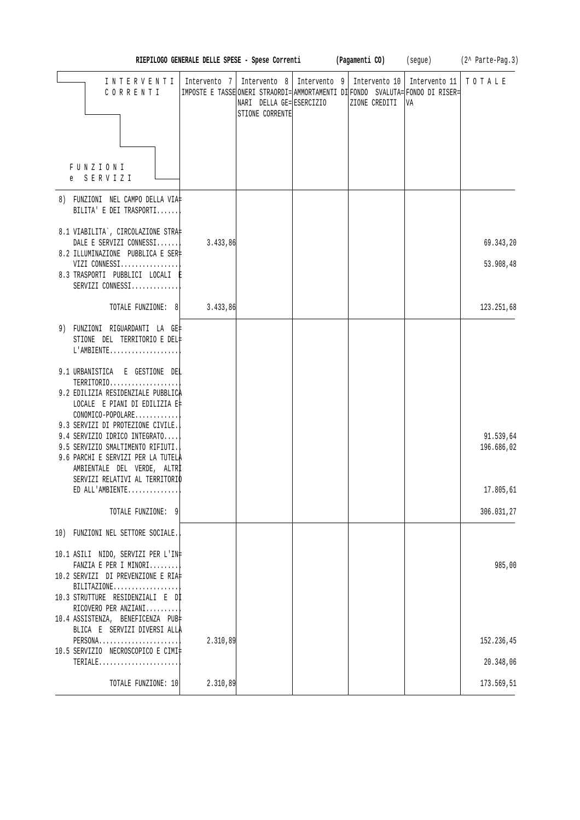|                                                                                                                                                                                                                     |                                                                            |                                                                                                                               |  |               |    | RIEPILOGO GENERALE DELLE SPESE - Spese Correnti (Pagamenti CO) (segue) (2^ Parte-Pag.3) |
|---------------------------------------------------------------------------------------------------------------------------------------------------------------------------------------------------------------------|----------------------------------------------------------------------------|-------------------------------------------------------------------------------------------------------------------------------|--|---------------|----|-----------------------------------------------------------------------------------------|
| INTERVENTI<br>CORRENTI                                                                                                                                                                                              | Intervento 7   Intervento 8   Intervento 9   Intervento 10   Intervento 11 | IMPOSTE E TASSE ONERI STRAORDI= AMMORTAMENTI DI FONDO SVALUTA= FONDO DI RISER=<br>NARI DELLA GE= ESERCIZIO<br>STIONE CORRENTE |  | ZIONE CREDITI | VA | TOTALE                                                                                  |
| FUNZIONI<br>e SERVIZI                                                                                                                                                                                               |                                                                            |                                                                                                                               |  |               |    |                                                                                         |
| 8) FUNZIONI NEL CAMPO DELLA VIA‡<br>BILITA' E DEI TRASPORTI                                                                                                                                                         |                                                                            |                                                                                                                               |  |               |    |                                                                                         |
| 8.1 VIABILITA`, CIRCOLAZIONE STRA‡<br>DALE E SERVIZI CONNESSI<br>8.2 ILLUMINAZIONE PUBBLICA E SER‡                                                                                                                  | 3.433,86                                                                   |                                                                                                                               |  |               |    | 69.343,20                                                                               |
| VIZI CONNESSI<br>8.3 TRASPORTI PUBBLICI LOCALI E<br>SERVIZI CONNESSI                                                                                                                                                |                                                                            |                                                                                                                               |  |               |    | 53.908,48                                                                               |
| TOTALE FUNZIONE: 8                                                                                                                                                                                                  | 3.433,86                                                                   |                                                                                                                               |  |               |    | 123.251,68                                                                              |
| 9) FUNZIONI RIGUARDANTI LA GE‡<br>STIONE DEL TERRITORIO E DEL#<br>L'AMBIENTE                                                                                                                                        |                                                                            |                                                                                                                               |  |               |    |                                                                                         |
| 9.1 URBANISTICA E GESTIONE DEL<br>TERRITORIO<br>9.2 EDILIZIA RESIDENZIALE PUBBLICA<br>LOCALE E PIANI DI EDILIZIA E‡                                                                                                 |                                                                            |                                                                                                                               |  |               |    |                                                                                         |
| CONOMICO-POPOLARE<br>9.3 SERVIZI DI PROTEZIONE CIVILE.<br>9.4 SERVIZIO IDRICO INTEGRATO<br>9.5 SERVIZIO SMALTIMENTO RIFIUTI.<br>9.6 PARCHI E SERVIZI PER LA TUTELA<br>AMBIENTALE DEL VERDE, ALTRİ                   |                                                                            |                                                                                                                               |  |               |    | 91.539,64<br>196.686,02                                                                 |
| SERVIZI RELATIVI AL TERRITORIO<br>ED ALL'AMBIENTE                                                                                                                                                                   |                                                                            |                                                                                                                               |  |               |    | 17.805,61                                                                               |
| TOTALE FUNZIONE: 9                                                                                                                                                                                                  |                                                                            |                                                                                                                               |  |               |    | 306.031,27                                                                              |
| 10) FUNZIONI NEL SETTORE SOCIALE.                                                                                                                                                                                   |                                                                            |                                                                                                                               |  |               |    |                                                                                         |
| 10.1 ASILI NIDO, SERVIZI PER L'IN‡<br>FANZIA E PER I MINORI<br>10.2 SERVIZI DI PREVENZIONE E RIA‡<br>$BILITAZIONE$<br>10.3 STRUTTURE RESIDENZIALI E DI<br>RICOVERO PER ANZIANI<br>10.4 ASSISTENZA, BENEFICENZA PUB‡ |                                                                            |                                                                                                                               |  |               |    | 985,00                                                                                  |
| BLICA E SERVIZI DIVERSI ALLA<br>PERSONA                                                                                                                                                                             | 2.310,89                                                                   |                                                                                                                               |  |               |    | 152.236,45                                                                              |
| 10.5 SERVIZIO NECROSCOPICO E CIMI‡<br>$TERIALE$                                                                                                                                                                     |                                                                            |                                                                                                                               |  |               |    | 20.348,06                                                                               |
| TOTALE FUNZIONE: 10                                                                                                                                                                                                 | 2.310,89                                                                   |                                                                                                                               |  |               |    | 173.569,51                                                                              |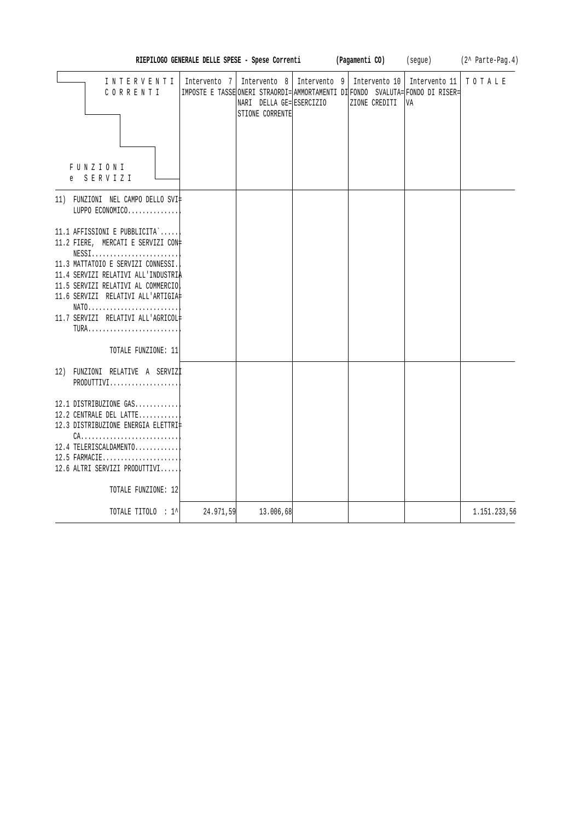|                                                                                                                                                                                                                                                                                                                                 |           | RIEPILOGO GENERALE DELLE SPESE - Spese Correnti | (Pagamenti CO)                                                                                                                                                                | (segue) | $(2^{\wedge}$ Parte-Pag.4) |
|---------------------------------------------------------------------------------------------------------------------------------------------------------------------------------------------------------------------------------------------------------------------------------------------------------------------------------|-----------|-------------------------------------------------|-------------------------------------------------------------------------------------------------------------------------------------------------------------------------------|---------|----------------------------|
| INTERVENTI<br>CORRENTI<br>FUNZIONI<br>e SERVIZI                                                                                                                                                                                                                                                                                 |           | NARI DELLA GE= ESERCIZIO<br>STIONE CORRENTE     | Intervento 7   Intervento 8   Intervento 9   Intervento 10   Intervento 11<br>IMPOSTE E TASSE ONERI STRAORDI= AMMORTAMENTI DI FONDO SVALUTA= FONDO DI RISER=<br>ZIONE CREDITI | VA      | TOTALE                     |
| 11) FUNZIONI NEL CAMPO DELLO SVI<br>LUPPO ECONOMICO                                                                                                                                                                                                                                                                             |           |                                                 |                                                                                                                                                                               |         |                            |
| 11.1 AFFISSIONI E PUBBLICITA`<br>11.2 FIERE, MERCATI E SERVIZI CON+<br>$NESS1.\dots.\dots.\dots.\dots.\dots\dots$<br>11.3 MATTATOIO E SERVIZI CONNESSI.<br>11.4 SERVIZI RELATIVI ALL'INDUSTRIA<br>11.5 SERVIZI RELATIVI AL COMMERCIO<br>11.6 SERVIZI RELATIVI ALL'ARTIGIA<br>NATO<br>11.7 SERVIZI RELATIVI ALL'AGRICOL#<br>TURA |           |                                                 |                                                                                                                                                                               |         |                            |
| TOTALE FUNZIONE: 11<br>12) FUNZIONI RELATIVE A SERVIZI<br>PRODUTTIVI                                                                                                                                                                                                                                                            |           |                                                 |                                                                                                                                                                               |         |                            |
| 12.1 DISTRIBUZIONE GAS<br>12.2 CENTRALE DEL LATTE<br>12.3 DISTRIBUZIONE ENERGIA ELETTRI‡<br>12.4 TELERISCALDAMENTO<br>$12.5$ FARMACIE<br>12.6 ALTRI SERVIZI PRODUTTIVI<br>TOTALE FUNZIONE: 12                                                                                                                                   |           |                                                 |                                                                                                                                                                               |         |                            |
| TOTALE TITOLO : 1^                                                                                                                                                                                                                                                                                                              | 24.971,59 | 13.006,68                                       |                                                                                                                                                                               |         | 1.151.233,56               |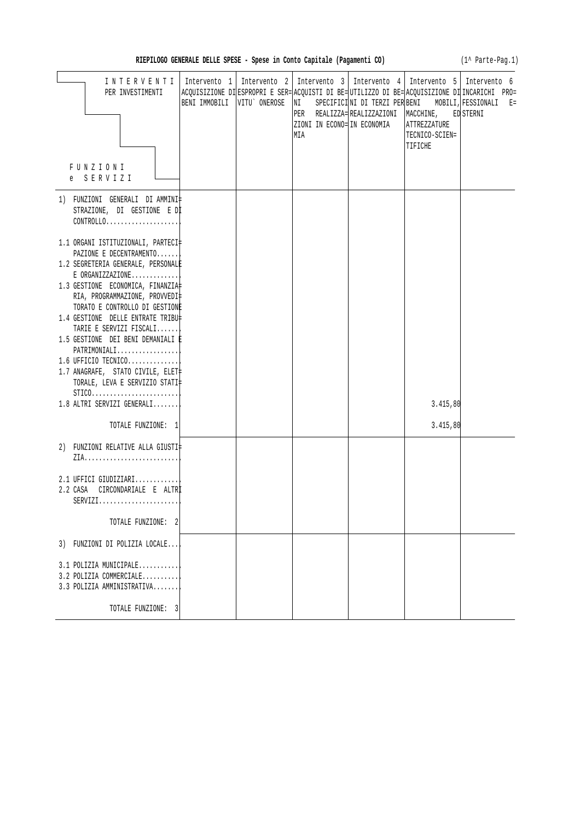(1^ Parte-Pag.1)

| INTERVENTI   Intervento 1   Intervento 2   Intervento 3   Intervento 4   Intervento 5   Intervento 6<br>PER INVESTIMENTI       | BENI IMMOBILI   VITU` ONEROSE | ACQUISIZIONE DI ESPROPRI E SER= ACQUISTI DI BE= UTILIZZO DI BE= ACQUISIZIONE DI INCARICHI PRO=<br>NI SPECIFICINI DI TERZI PER BENI MOBILI, FESSIONALI E=<br>ZIONI IN ECONO= IN ECONOMIA<br>MIA | PER REALIZZA= REALIZZAZIONI   MACCHINE, ED STERNI | <b>ATTREZZATURE</b><br>TECNICO-SCIEN=<br>TIFICHE |  |
|--------------------------------------------------------------------------------------------------------------------------------|-------------------------------|------------------------------------------------------------------------------------------------------------------------------------------------------------------------------------------------|---------------------------------------------------|--------------------------------------------------|--|
| FUNZIONI<br>e SERVIZI                                                                                                          |                               |                                                                                                                                                                                                |                                                   |                                                  |  |
| 1) FUNZIONI GENERALI DIAMMINI‡<br>STRAZIONE, DI GESTIONE E DI<br>$CONTROLLO. \ldots \ldots \ldots \ldots \ldots \ldots \ldots$ |                               |                                                                                                                                                                                                |                                                   |                                                  |  |
| 1.1 ORGANI ISTITUZIONALI, PARTECI‡<br>PAZIONE E DECENTRAMENTO                                                                  |                               |                                                                                                                                                                                                |                                                   |                                                  |  |
| 1.2 SEGRETERIA GENERALE, PERSONALE                                                                                             |                               |                                                                                                                                                                                                |                                                   |                                                  |  |
| $E$ ORGANIZZAZIONE<br>1.3 GESTIONE ECONOMICA, FINANZIA<br>RIA, PROGRAMMAZIONE, PROVVEDI‡                                       |                               |                                                                                                                                                                                                |                                                   |                                                  |  |
| TORATO E CONTROLLO DI GESTIONE<br>1.4 GESTIONE DELLE ENTRATE TRIBU‡<br>TARIE E SERVIZI FISCALI                                 |                               |                                                                                                                                                                                                |                                                   |                                                  |  |
| 1.5 GESTIONE DEI BENI DEMANIALI È<br>$PATHIMONIALI$                                                                            |                               |                                                                                                                                                                                                |                                                   |                                                  |  |
| 1.6 UFFICIO TECNICO<br>1.7 ANAGRAFE, STATO CIVILE, ELET+<br>TORALE, LEVA E SERVIZIO STATI‡                                     |                               |                                                                                                                                                                                                |                                                   |                                                  |  |
| $STICO. \ldots \ldots \ldots \ldots \ldots \ldots \ldots \ldots$<br>1.8 ALTRI SERVIZI GENERALI                                 |                               |                                                                                                                                                                                                |                                                   | 3.415,80                                         |  |
| TOTALE FUNZIONE: 1                                                                                                             |                               |                                                                                                                                                                                                |                                                   | 3.415,80                                         |  |
| 2) FUNZIONI RELATIVE ALLA GIUSTI‡                                                                                              |                               |                                                                                                                                                                                                |                                                   |                                                  |  |
| 2.1 UFFICI GIUDIZIARI<br>2.2 CASA CIRCONDARIALE E ALTRI<br>$SERVIZI.$                                                          |                               |                                                                                                                                                                                                |                                                   |                                                  |  |
| TOTALE FUNZIONE: 2                                                                                                             |                               |                                                                                                                                                                                                |                                                   |                                                  |  |
| 3) FUNZIONI DI POLIZIA LOCALE                                                                                                  |                               |                                                                                                                                                                                                |                                                   |                                                  |  |
| 3.1 POLIZIA MUNICIPALE<br>3.2 POLIZIA COMMERCIALE<br>3.3 POLIZIA AMMINISTRATIVA                                                |                               |                                                                                                                                                                                                |                                                   |                                                  |  |
| TOTALE FUNZIONE: 3                                                                                                             |                               |                                                                                                                                                                                                |                                                   |                                                  |  |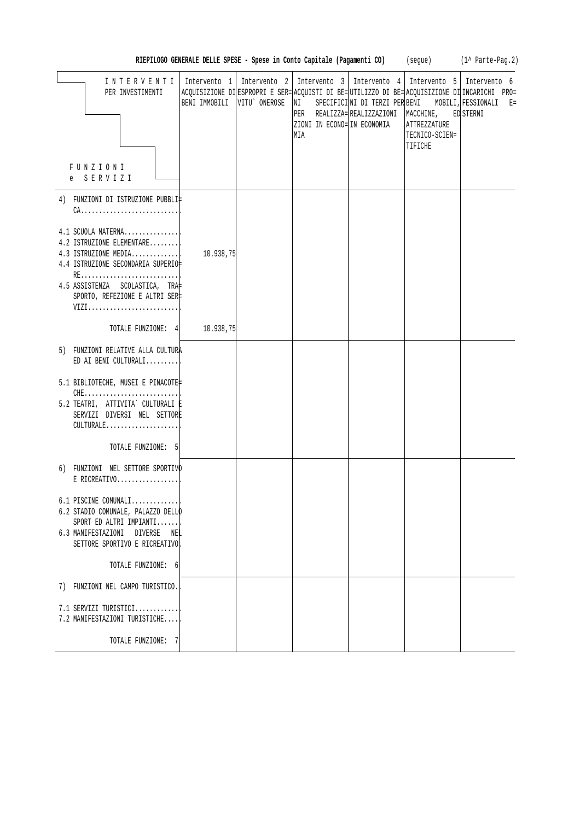| RIEPILOGO GENERALE DELLE SPESE - Spese in Conto Capitale (Pagamenti CO) |  |  | seque). | (1^ Parte-Pag.2) |
|-------------------------------------------------------------------------|--|--|---------|------------------|
|-------------------------------------------------------------------------|--|--|---------|------------------|

| INTERVENTI<br>PER INVESTIMENTI<br>FUNZIONI<br>e SERVIZI                                                                                                                                     | BENI IMMOBILI   VITU` ONEROSE | Intervento 1   Intervento 2   Intervento 3   Intervento 4   Intervento 5   Intervento 6<br>NI<br>ZIONI IN ECONO= IN ECONOMIA<br>MIA | PER REALIZZA= REALIZZAZIONI   MACCHINE, ED STERNI<br><b>ATTREZZATURE</b><br>TECNICO-SCIEN=<br>TIFICHE | ACQUISIZIONE DI ESPROPRI E SER= ACQUISTI DI BE= UTILIZZO DI BE= ACQUISIZIONE DI INCARICHI PRO=<br>SPECIFICINI DI TERZI PER BENI MOBILI, FESSIONALI E= |
|---------------------------------------------------------------------------------------------------------------------------------------------------------------------------------------------|-------------------------------|-------------------------------------------------------------------------------------------------------------------------------------|-------------------------------------------------------------------------------------------------------|-------------------------------------------------------------------------------------------------------------------------------------------------------|
| 4) FUNZIONI DI ISTRUZIONE PUBBLI‡<br>4.1 SCUOLA MATERNA<br>4.2 ISTRUZIONE ELEMENTARE<br>4.3 ISTRUZIONE MEDIA<br>4.4 ISTRUZIONE SECONDARIA SUPERIO‡<br>RE<br>4.5 ASSISTENZA SCOLASTICA, TRA‡ | 10.938,75                     |                                                                                                                                     |                                                                                                       |                                                                                                                                                       |
| SPORTO, REFEZIONE E ALTRI SER‡<br>VIZI<br>TOTALE FUNZIONE: 4 10.938,75                                                                                                                      |                               |                                                                                                                                     |                                                                                                       |                                                                                                                                                       |
| 5) FUNZIONI RELATIVE ALLA CULTURA<br>ED AI BENI CULTURALI                                                                                                                                   |                               |                                                                                                                                     |                                                                                                       |                                                                                                                                                       |
| 5.1 BIBLIOTECHE, MUSEI E PINACOTE‡<br>5.2 TEATRI, ATTIVITA` CULTURALI E<br>SERVIZI DIVERSI NEL SETTORE<br>CULTURALE                                                                         |                               |                                                                                                                                     |                                                                                                       |                                                                                                                                                       |
| TOTALE FUNZIONE: 5                                                                                                                                                                          |                               |                                                                                                                                     |                                                                                                       |                                                                                                                                                       |
| 6) FUNZIONI NEL SETTORE SPORTIVO<br>$E$ RICREATIVO                                                                                                                                          |                               |                                                                                                                                     |                                                                                                       |                                                                                                                                                       |
| $6.1$ PISCINE COMUNALI<br>6.2 STADIO COMUNALE, PALAZZO DELLO<br>SPORT ED ALTRI IMPIANTI<br>6.3 MANIFESTAZIONI DIVERSE NEL<br>SETTORE SPORTIVO E RICREATIVO                                  |                               |                                                                                                                                     |                                                                                                       |                                                                                                                                                       |
| TOTALE FUNZIONE: 6                                                                                                                                                                          |                               |                                                                                                                                     |                                                                                                       |                                                                                                                                                       |
| 7) FUNZIONI NEL CAMPO TURISTICO.                                                                                                                                                            |                               |                                                                                                                                     |                                                                                                       |                                                                                                                                                       |
| 7.1 SERVIZI TURISTICI<br>7.2 MANIFESTAZIONI TURISTICHE                                                                                                                                      |                               |                                                                                                                                     |                                                                                                       |                                                                                                                                                       |
| TOTALE FUNZIONE: 7                                                                                                                                                                          |                               |                                                                                                                                     |                                                                                                       |                                                                                                                                                       |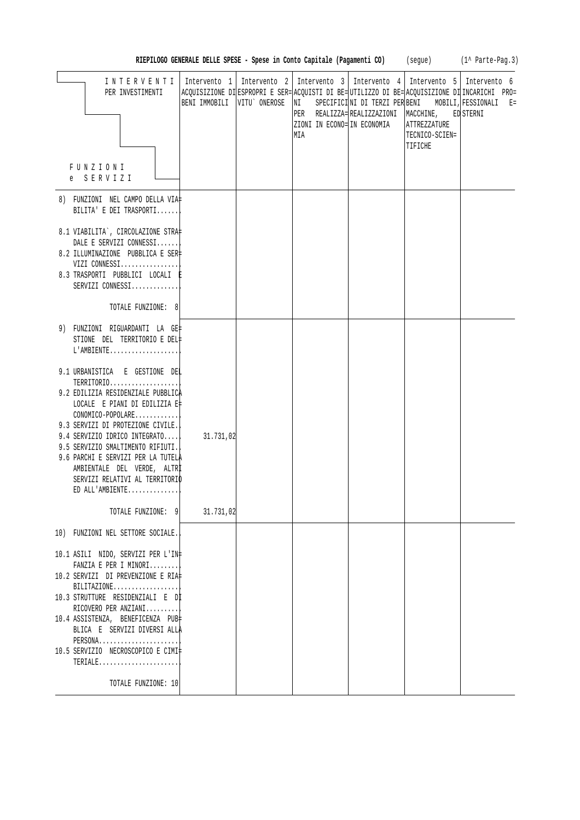|                                                                                                                                                                                                                                                                                                                                                                               |              |                                                                                                                |                                       |                                           | RIEPILOGO GENERALE DELLE SPESE - Spese in Conto Capitale (Pagamenti CO) (segue) (1^ Parte-Pag.3)                                                                                                        |
|-------------------------------------------------------------------------------------------------------------------------------------------------------------------------------------------------------------------------------------------------------------------------------------------------------------------------------------------------------------------------------|--------------|----------------------------------------------------------------------------------------------------------------|---------------------------------------|-------------------------------------------|---------------------------------------------------------------------------------------------------------------------------------------------------------------------------------------------------------|
| INTERVENTI<br>PER INVESTIMENTI<br>FUNZIONI<br>e SERVIZI                                                                                                                                                                                                                                                                                                                       | Intervento 1 | Intervento 2   Intervento 3   Intervento 4   Intervento 5   Intervento 6<br>ZIONI IN ECONO= IN ECONOMIA<br>MIA | PER REALIZZA= REALIZZAZIONI MACCHINE, | ATTREZZATURE<br>TECNICO-SCIEN=<br>TIFICHE | ACQUISIZIONE DI ESPROPRI E SER= ACQUISTI DI BE= UTILIZZO DI BE= ACQUISIZIONE DI INCARICHI PRO=<br>BENI IMMOBILI   VITU` ONEROSE   NI SPECIFICI  NI DI TERZI PER BENI MOBILI, FESSIONALI E=<br>ED STERNI |
| 8) FUNZIONI NEL CAMPO DELLA VIA‡<br>BILITA' E DEI TRASPORTI                                                                                                                                                                                                                                                                                                                   |              |                                                                                                                |                                       |                                           |                                                                                                                                                                                                         |
| 8.1 VIABILITA`, CIRCOLAZIONE STRA‡<br>DALE E SERVIZI CONNESSI<br>8.2 ILLUMINAZIONE PUBBLICA E SER<br>VIZI CONNESSI<br>8.3 TRASPORTI PUBBLICI LOCALI E<br>SERVIZI CONNESSI<br>TOTALE FUNZIONE: 8                                                                                                                                                                               |              |                                                                                                                |                                       |                                           |                                                                                                                                                                                                         |
| 9) FUNZIONI RIGUARDANTI LA GE‡<br>STIONE DEL TERRITORIO E DEL‡<br>$L'AMBIENTE$                                                                                                                                                                                                                                                                                                |              |                                                                                                                |                                       |                                           |                                                                                                                                                                                                         |
| 9.1 URBANISTICA E GESTIONE DEL<br>TERRITORIO<br>9.2 EDILIZIA RESIDENZIALE PUBBLICA<br>LOCALE E PIANI DI EDILIZIA E‡<br>CONOMICO-POPOLARE<br>9.3 SERVIZI DI PROTEZIONE CIVILE.<br>9.4 SERVIZIO IDRICO INTEGRATO<br>9.5 SERVIZIO SMALTIMENTO RIFIUTI.<br>9.6 PARCHI E SERVIZI PER LA TUTELÀ<br>AMBIENTALE DEL VERDE, ALTRI<br>SERVIZI RELATIVI AL TERRITORIO<br>ED ALL'AMBIENTE | 31.731,02    |                                                                                                                |                                       |                                           |                                                                                                                                                                                                         |
| TOTALE FUNZIONE: 9                                                                                                                                                                                                                                                                                                                                                            | 31.731,02    |                                                                                                                |                                       |                                           |                                                                                                                                                                                                         |
| 10) FUNZIONI NEL SETTORE SOCIALE.<br>10.1 ASILI NIDO, SERVIZI PER L'IN‡<br>FANZIA E PER I MINORI<br>10.2 SERVIZI DI PREVENZIONE E RIA‡<br>$BILITAZIONE$<br>10.3 STRUTTURE RESIDENZIALI E Dİ<br>RICOVERO PER ANZIANI<br>10.4 ASSISTENZA, BENEFICENZA PUB‡<br>BLICA E SERVIZI DIVERSI ALLA<br>PERSONA<br>10.5 SERVIZIO NECROSCOPICO E CIMI‡<br>$TERIALE$<br>TOTALE FUNZIONE: 10 |              |                                                                                                                |                                       |                                           |                                                                                                                                                                                                         |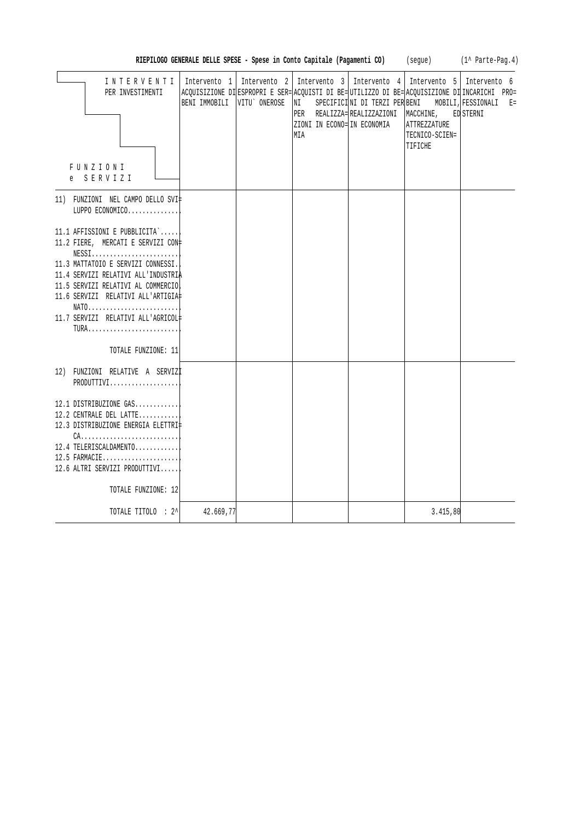| INTERVENTI                                                               |                               | Intervento $1$   Intervento $2$   Intervento $3$   Intervento $4$   Intervento $5$   Intervento 6 |                                                   |                |                                                                                                                                                       |
|--------------------------------------------------------------------------|-------------------------------|---------------------------------------------------------------------------------------------------|---------------------------------------------------|----------------|-------------------------------------------------------------------------------------------------------------------------------------------------------|
| PER INVESTIMENTI                                                         | BENI IMMOBILI   VITU` ONEROSE | NI L                                                                                              |                                                   |                | ACQUISIZIONE DI ESPROPRI E SER= ACQUISTI DI BE= UTILIZZO DI BE= ACQUISIZIONE DI INCARICHI PRO=<br>SPECIFICINI DI TERZI PER BENI MOBILI, FESSIONALI E= |
|                                                                          |                               |                                                                                                   | PER REALIZZA= REALIZZAZIONI   MACCHINE, ED STERNI |                |                                                                                                                                                       |
|                                                                          |                               | ZIONI IN ECONO= IN ECONOMIA                                                                       |                                                   | ATTREZZATURE   |                                                                                                                                                       |
|                                                                          |                               | MIA                                                                                               |                                                   | TECNICO-SCIEN= |                                                                                                                                                       |
|                                                                          |                               |                                                                                                   |                                                   | TIFICHE        |                                                                                                                                                       |
|                                                                          |                               |                                                                                                   |                                                   |                |                                                                                                                                                       |
| FUNZIONI                                                                 |                               |                                                                                                   |                                                   |                |                                                                                                                                                       |
| e SERVIZI                                                                |                               |                                                                                                   |                                                   |                |                                                                                                                                                       |
| 11) FUNZIONI NEL CAMPO DELLO SVI‡                                        |                               |                                                                                                   |                                                   |                |                                                                                                                                                       |
| LUPPO ECONOMICO                                                          |                               |                                                                                                   |                                                   |                |                                                                                                                                                       |
|                                                                          |                               |                                                                                                   |                                                   |                |                                                                                                                                                       |
| 11.1 AFFISSIONI E PUBBLICITA`                                            |                               |                                                                                                   |                                                   |                |                                                                                                                                                       |
| 11.2 FIERE, MERCATI E SERVIZI CON#                                       |                               |                                                                                                   |                                                   |                |                                                                                                                                                       |
| $NESS1, \ldots, \ldots, \ldots, \ldots, \ldots, \ldots,$                 |                               |                                                                                                   |                                                   |                |                                                                                                                                                       |
| 11.3 MATTATOIO E SERVIZI CONNESSI.                                       |                               |                                                                                                   |                                                   |                |                                                                                                                                                       |
| 11.4 SERVIZI RELATIVI ALL'INDUSTRIA                                      |                               |                                                                                                   |                                                   |                |                                                                                                                                                       |
| 11.5 SERVIZI RELATIVI AL COMMERCIO<br>11.6 SERVIZI RELATIVI ALL'ARTIGIA# |                               |                                                                                                   |                                                   |                |                                                                                                                                                       |
| NATO                                                                     |                               |                                                                                                   |                                                   |                |                                                                                                                                                       |
| 11.7 SERVIZI RELATIVI ALL'AGRICOL#                                       |                               |                                                                                                   |                                                   |                |                                                                                                                                                       |
| TURA                                                                     |                               |                                                                                                   |                                                   |                |                                                                                                                                                       |
|                                                                          |                               |                                                                                                   |                                                   |                |                                                                                                                                                       |
| TOTALE FUNZIONE: 11                                                      |                               |                                                                                                   |                                                   |                |                                                                                                                                                       |
| 12) FUNZIONI RELATIVE A SERVIZI                                          |                               |                                                                                                   |                                                   |                |                                                                                                                                                       |
| PRODUTTIVI                                                               |                               |                                                                                                   |                                                   |                |                                                                                                                                                       |
|                                                                          |                               |                                                                                                   |                                                   |                |                                                                                                                                                       |
| 12.1 DISTRIBUZIONE GAS                                                   |                               |                                                                                                   |                                                   |                |                                                                                                                                                       |
| 12.2 CENTRALE DEL LATTE                                                  |                               |                                                                                                   |                                                   |                |                                                                                                                                                       |
| 12.3 DISTRIBUZIONE ENERGIA ELETTRI#                                      |                               |                                                                                                   |                                                   |                |                                                                                                                                                       |
| $CA$                                                                     |                               |                                                                                                   |                                                   |                |                                                                                                                                                       |
| 12.4 TELERISCALDAMENTO                                                   |                               |                                                                                                   |                                                   |                |                                                                                                                                                       |
| $12.5$ FARMACIE                                                          |                               |                                                                                                   |                                                   |                |                                                                                                                                                       |
| 12.6 ALTRI SERVIZI PRODUTTIVI                                            |                               |                                                                                                   |                                                   |                |                                                                                                                                                       |
| TOTALE FUNZIONE: 12                                                      |                               |                                                                                                   |                                                   |                |                                                                                                                                                       |
|                                                                          |                               |                                                                                                   |                                                   |                |                                                                                                                                                       |
| TOTALE TITOLO : 2^                                                       | 42.669,77                     |                                                                                                   |                                                   | 3.415,80       |                                                                                                                                                       |

RIEPILOGO GENERALE DELLE SPESE - Spese in Conto Capitale (Pagamenti CO) (segue) (1^ Parte-Pag.4)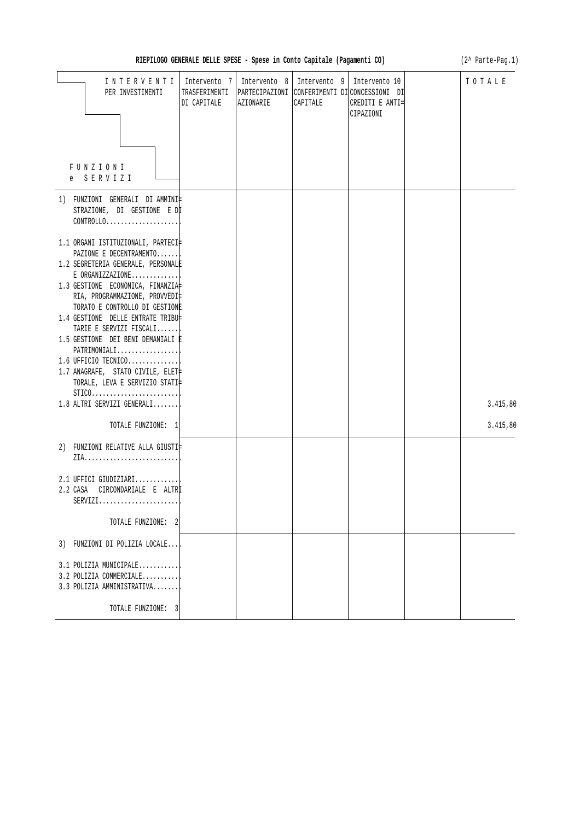| RIEPILOGO GENERALE DELLE SPESE - Spese in Conto Capitale (Pagamenti CO) |  |  |  |  |  |  |
|-------------------------------------------------------------------------|--|--|--|--|--|--|
|-------------------------------------------------------------------------|--|--|--|--|--|--|

(2^ Parte-Pag.1)

| INTERVENTI<br>PER INVESTIMENTI<br>FUNZIONI<br>e SERVIZI                                                                                                                                                                                                                                                                                                                                                                                                                                                                                                                                                                        | Intervento 7<br>TRASFERIMENTI<br>DI CAPITALE | AZIONARIE | Intervento 8   Intervento 9  <br>CAPITALE | Intervento 10<br>PARTECIPAZIONI CONFERIMENTI DI CONCESSIONI DI<br>CREDITI E ANTI=<br>CIPAZIONI | TOTALE   |
|--------------------------------------------------------------------------------------------------------------------------------------------------------------------------------------------------------------------------------------------------------------------------------------------------------------------------------------------------------------------------------------------------------------------------------------------------------------------------------------------------------------------------------------------------------------------------------------------------------------------------------|----------------------------------------------|-----------|-------------------------------------------|------------------------------------------------------------------------------------------------|----------|
| 1) FUNZIONI GENERALI DI AMMINI‡<br>STRAZIONE, DI GESTIONE E DI<br>CONTROLLO<br>1.1 ORGANI ISTITUZIONALI, PARTECI‡<br>PAZIONE E DECENTRAMENTO<br>1.2 SEGRETERIA GENERALE, PERSONALE<br>$E$ ORGANIZZAZIONE<br>1.3 GESTIONE ECONOMICA, FINANZIA<br>RIA, PROGRAMMAZIONE, PROVVEDI‡<br>TORATO E CONTROLLO DI GESTIONE<br>1.4 GESTIONE DELLE ENTRATE TRIBU‡<br>TARIE E SERVIZI FISCALI<br>1.5 GESTIONE DEI BENI DEMANIALI È<br>PATRIMONIALI<br>1.6 UFFICIO TECNICO<br>1.7 ANAGRAFE, STATO CIVILE, ELET‡<br>TORALE, LEVA E SERVIZIO STATI‡<br>$STICO. \ldots \ldots \ldots \ldots \ldots \ldots \ldots$<br>1.8 ALTRI SERVIZI GENERALI |                                              |           |                                           |                                                                                                | 3.415,80 |
| TOTALE FUNZIONE: 1<br>2) FUNZIONI RELATIVE ALLA GIUSTI‡                                                                                                                                                                                                                                                                                                                                                                                                                                                                                                                                                                        |                                              |           |                                           |                                                                                                | 3.415,80 |
| 2.1 UFFICI GIUDIZIARI<br>2.2 CASA CIRCONDARIALE E ALTRI<br>$SERVIZI.$<br>TOTALE FUNZIONE: 2                                                                                                                                                                                                                                                                                                                                                                                                                                                                                                                                    |                                              |           |                                           |                                                                                                |          |
| 3) FUNZIONI DI POLIZIA LOCALE                                                                                                                                                                                                                                                                                                                                                                                                                                                                                                                                                                                                  |                                              |           |                                           |                                                                                                |          |
| 3.1 POLIZIA MUNICIPALE<br>3.2 POLIZIA COMMERCIALE<br>3.3 POLIZIA AMMINISTRATIVA                                                                                                                                                                                                                                                                                                                                                                                                                                                                                                                                                |                                              |           |                                           |                                                                                                |          |
| TOTALE FUNZIONE: 3                                                                                                                                                                                                                                                                                                                                                                                                                                                                                                                                                                                                             |                                              |           |                                           |                                                                                                |          |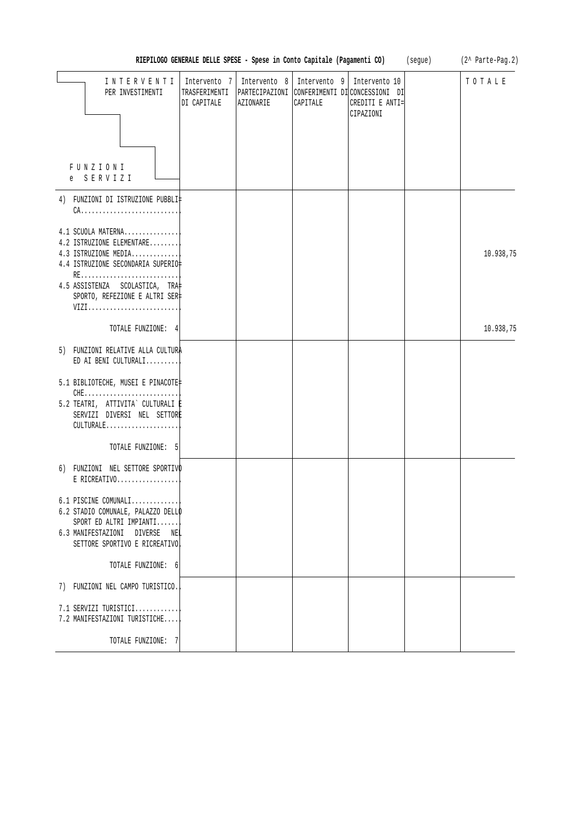| RIEPILOGO GENERALE DELLE SPESE - Spese in Conto Capitale (Pagamenti CO)<br>(segue)                                                                                                              |                                              |                                             |                          |                                                                                 |  | (2^ Parte-Pag.2) |
|-------------------------------------------------------------------------------------------------------------------------------------------------------------------------------------------------|----------------------------------------------|---------------------------------------------|--------------------------|---------------------------------------------------------------------------------|--|------------------|
| INTERVENTI<br>PER INVESTIMENTI                                                                                                                                                                  | Intervento 7<br>TRASFERIMENTI<br>DI CAPITALE | Intervento 8<br>PARTECIPAZIONI<br>AZIONARIE | Intervento 9<br>CAPITALE | Intervento 10<br>CONFERIMENTI DI CONCESSIONI DI<br>CREDITI E ANTI=<br>CIPAZIONI |  | TOTALE           |
| FUNZIONI<br>SERVIZI<br>e                                                                                                                                                                        |                                              |                                             |                          |                                                                                 |  |                  |
| 4) FUNZIONI DI ISTRUZIONE PUBBLI‡                                                                                                                                                               |                                              |                                             |                          |                                                                                 |  |                  |
| 4.1 SCUOLA MATERNA<br>4.2 ISTRUZIONE ELEMENTARE<br>4.3 ISTRUZIONE MEDIA<br>4.4 ISTRUZIONE SECONDARIA SUPERIO‡<br>RE<br>4.5 ASSISTENZA SCOLASTICA, TRA<br>SPORTO, REFEZIONE E ALTRI SER‡<br>VIZI |                                              |                                             |                          |                                                                                 |  | 10.938,75        |
| TOTALE FUNZIONE: 4                                                                                                                                                                              |                                              |                                             |                          |                                                                                 |  | 10.938,75        |
| 5) FUNZIONI RELATIVE ALLA CULTURA<br>ED AI BENI CULTURALI                                                                                                                                       |                                              |                                             |                          |                                                                                 |  |                  |
| 5.1 BIBLIOTECHE, MUSEI E PINACOTE<br>5.2 TEATRI, ATTIVITA` CULTURALI İ<br>SERVIZI DIVERSI NEL SETTORE<br>CULTURALE                                                                              |                                              |                                             |                          |                                                                                 |  |                  |
| TOTALE FUNZIONE: 5                                                                                                                                                                              |                                              |                                             |                          |                                                                                 |  |                  |
| 6) FUNZIONI NEL SETTORE SPORTIVO<br>E RICREATIVO                                                                                                                                                |                                              |                                             |                          |                                                                                 |  |                  |
| 6.1 PISCINE COMUNALI<br>6.2 STADIO COMUNALE, PALAZZO DELLO<br>SPORT ED ALTRI IMPIANTI<br>6.3 MANIFESTAZIONI DIVERSE<br>NEL<br>SETTORE SPORTIVO E RICREATIVO                                     |                                              |                                             |                          |                                                                                 |  |                  |
| TOTALE FUNZIONE: 6                                                                                                                                                                              |                                              |                                             |                          |                                                                                 |  |                  |
| 7) FUNZIONI NEL CAMPO TURISTICO.                                                                                                                                                                |                                              |                                             |                          |                                                                                 |  |                  |
| 7.1 SERVIZI TURISTICI<br>7.2 MANIFESTAZIONI TURISTICHE                                                                                                                                          |                                              |                                             |                          |                                                                                 |  |                  |
| TOTALE FUNZIONE: 7                                                                                                                                                                              |                                              |                                             |                          |                                                                                 |  |                  |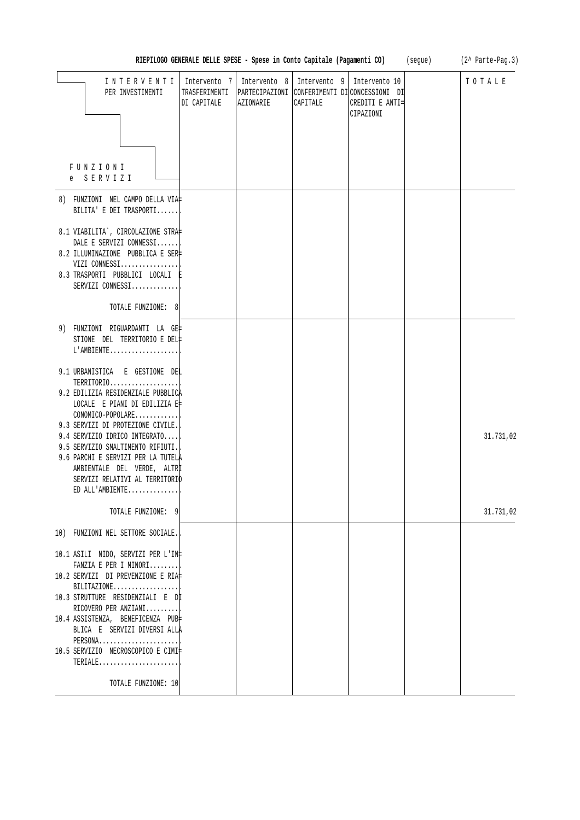|                                                                                                                                                                                                                                                                                                                 | RIEPILOGO GENERALE DELLE SPESE - Spese in Conto Capitale (Pagamenti CO) |           |                                         |                                                                                                | (segue) | (2^ Parte-Pag.3) |
|-----------------------------------------------------------------------------------------------------------------------------------------------------------------------------------------------------------------------------------------------------------------------------------------------------------------|-------------------------------------------------------------------------|-----------|-----------------------------------------|------------------------------------------------------------------------------------------------|---------|------------------|
| INTERVENTI<br>PER INVESTIMENTI                                                                                                                                                                                                                                                                                  | Intervento 7<br>TRASFERIMENTI<br>DI CAPITALE                            | AZIONARIE | Intervento 8   Intervento 9<br>CAPITALE | Intervento 10<br>PARTECIPAZIONI CONFERIMENTI DI CONCESSIONI DI<br>CREDITI E ANTI=<br>CIPAZIONI |         | TOTALE           |
| FUNZIONI<br>e SERVIZI                                                                                                                                                                                                                                                                                           |                                                                         |           |                                         |                                                                                                |         |                  |
| 8) FUNZIONI NEL CAMPO DELLA VIA‡<br>BILITA' E DEI TRASPORTI                                                                                                                                                                                                                                                     |                                                                         |           |                                         |                                                                                                |         |                  |
| 8.1 VIABILITA`, CIRCOLAZIONE STRA‡<br>DALE E SERVIZI CONNESSI<br>8.2 ILLUMINAZIONE PUBBLICA E SER‡<br>VIZI CONNESSI<br>8.3 TRASPORTI PUBBLICI LOCALI E<br>SERVIZI CONNESSI                                                                                                                                      |                                                                         |           |                                         |                                                                                                |         |                  |
| TOTALE FUNZIONE: 8                                                                                                                                                                                                                                                                                              |                                                                         |           |                                         |                                                                                                |         |                  |
| 9) FUNZIONI RIGUARDANTI LA GE‡<br>STIONE DEL TERRITORIO E DEL‡<br>L'AMBIENTE                                                                                                                                                                                                                                    |                                                                         |           |                                         |                                                                                                |         |                  |
| 9.1 URBANISTICA E GESTIONE DEL<br>TERRITORIO<br>9.2 EDILIZIA RESIDENZIALE PUBBLICA<br>LOCALE E PIANI DI EDILIZIA E‡<br>CONOMICO-POPOLARE<br>9.3 SERVIZI DI PROTEZIONE CIVILE.                                                                                                                                   |                                                                         |           |                                         |                                                                                                |         |                  |
| 9.4 SERVIZIO IDRICO INTEGRATO<br>9.5 SERVIZIO SMALTIMENTO RIFIUTI.<br>9.6 PARCHI E SERVIZI PER LA TUTELA<br>AMBIENTALE DEL VERDE, ALTRI<br>SERVIZI RELATIVI AL TERRITORIO<br>ED ALL'AMBIENTE                                                                                                                    |                                                                         |           |                                         |                                                                                                |         | 31.731,02        |
| TOTALE FUNZIONE: 9                                                                                                                                                                                                                                                                                              |                                                                         |           |                                         |                                                                                                |         | 31.731,02        |
| 10) FUNZIONI NEL SETTORE SOCIALE.                                                                                                                                                                                                                                                                               |                                                                         |           |                                         |                                                                                                |         |                  |
| 10.1 ASILI NIDO, SERVIZI PER L'IN‡<br>FANZIA E PER I MINORI<br>10.2 SERVIZI DI PREVENZIONE E RIA‡<br>$BILITAZIONE$<br>10.3 STRUTTURE RESIDENZIALI E DI<br>RICOVERO PER ANZIANI<br>10.4 ASSISTENZA, BENEFICENZA PUB‡<br>BLICA E SERVIZI DIVERSI ALLA<br>PERSONA<br>10.5 SERVIZIO NECROSCOPICO E CIMI‡<br>TERIALE |                                                                         |           |                                         |                                                                                                |         |                  |
| TOTALE FUNZIONE: 10                                                                                                                                                                                                                                                                                             |                                                                         |           |                                         |                                                                                                |         |                  |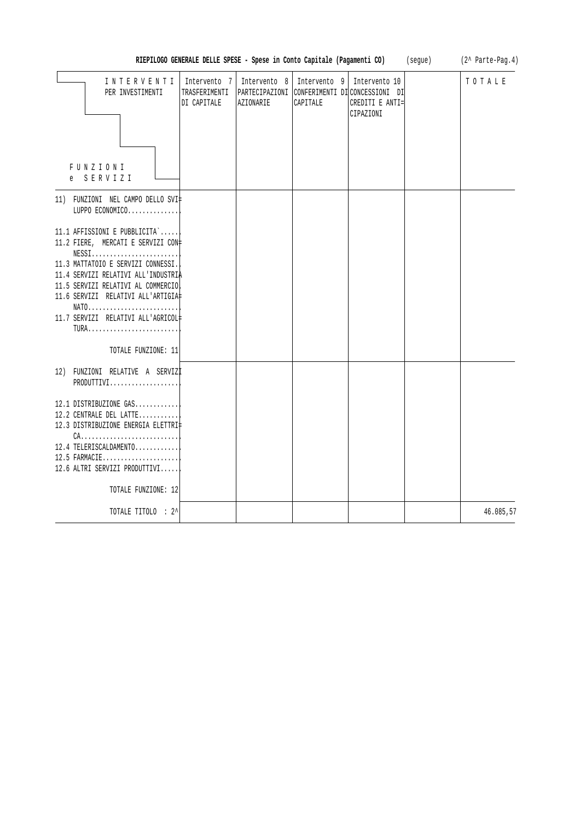| RIEPILOGO GENERALE DELLE SPESE - Spese in Conto Capitale (Pagamenti CO)                                                                                                                                                                                                                                                                                     | (segue)                                      | $(2^{\wedge}$ Parte-Pag.4)<br>TOTALE |                                           |                                                                                               |  |           |
|-------------------------------------------------------------------------------------------------------------------------------------------------------------------------------------------------------------------------------------------------------------------------------------------------------------------------------------------------------------|----------------------------------------------|--------------------------------------|-------------------------------------------|-----------------------------------------------------------------------------------------------|--|-----------|
| INTERVENTI<br>PER INVESTIMENTI<br>FUNZIONI<br>e SERVIZI                                                                                                                                                                                                                                                                                                     | Intervento 7<br>TRASFERIMENTI<br>DI CAPITALE | AZIONARIE                            | Intervento 8   Intervento 9  <br>CAPITALE | Intervento 10<br>PARTECIPAZIONI CONFERIMENTI DICONCESSIONI DI<br>CREDITI E ANTI=<br>CIPAZIONI |  |           |
| 11) FUNZIONI NEL CAMPO DELLO SVI‡<br>LUPPO ECONOMICO                                                                                                                                                                                                                                                                                                        |                                              |                                      |                                           |                                                                                               |  |           |
| 11.1 AFFISSIONI E PUBBLICITA`<br>11.2 FIERE, MERCATI E SERVIZI CON#<br>${\tt NESSI.}\dots\dots\dots\dots\dots\dots\dots\dots$<br>11.3 MATTATOIO E SERVIZI CONNESSI.<br>11.4 SERVIZI RELATIVI ALL'INDUSTRIA<br>11.5 SERVIZI RELATIVI AL COMMERCIO<br>11.6 SERVIZI RELATIVI ALL'ARTIGIA‡<br>11.7 SERVIZI RELATIVI ALL'AGRICOL#<br>TURA<br>TOTALE FUNZIONE: 11 |                                              |                                      |                                           |                                                                                               |  |           |
| 12) FUNZIONI RELATIVE A SERVIZI<br>PRODUTTIVI                                                                                                                                                                                                                                                                                                               |                                              |                                      |                                           |                                                                                               |  |           |
| 12.1 DISTRIBUZIONE GAS<br>12.2 CENTRALE DEL LATTE<br>12.3 DISTRIBUZIONE ENERGIA ELETTRI‡<br>$CA.$<br>12.4 TELERISCALDAMENTO<br>12.5 FARMACIE<br>12.6 ALTRI SERVIZI PRODUTTIVI<br>TOTALE FUNZIONE: 12                                                                                                                                                        |                                              |                                      |                                           |                                                                                               |  |           |
| TOTALE TITOLO : 2^                                                                                                                                                                                                                                                                                                                                          |                                              |                                      |                                           |                                                                                               |  | 46.085,57 |